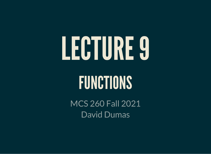# LECTURE9

# FUNCTIONS

MCS 260 Fall 2021 David Dumas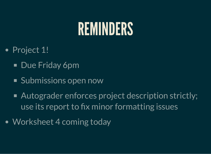# REMINDERS

- Project 1!
	- Due Friday 6pm
	- Submissions open now
	- Autograder enforces project description strictly; use its report to fix minor formatting issues
- Worksheet 4 coming today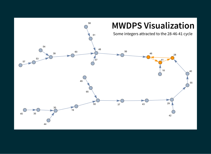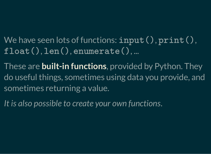We have seen lots of functions:  $\mathtt{input}()$  ,  $\mathtt{print}()$  ,  $\texttt{float}()$ ,  $\texttt{len}()$ ,  $\texttt{enumerate}()$ , ...

These are **built-in functions**, provided by Python. They do useful things, sometimes using data you provide, and sometimes returning a value.

*It is also possible to create your own functions*.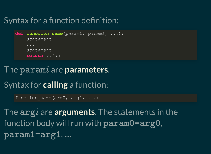#### Syntax for a function definition:

```
def function_name(param0, param1, ...):
     statement
     statement
     return value
```
### The  $\mathtt{param}i$  are  $\mathtt{parameters}.$

Syntax for **calling** a function:

```
function name(arg0, arg1, ...)
```
The  $\arg i$  are arguments. The statements in the function body will run with  $\verb|paramO=argO|,$ , .... param1=arg1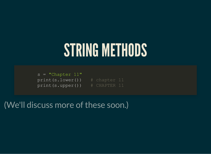# STRING METHODS

 $s =$  "Chapter  $11$ " print(s.lower()) # chapter 11 print(s.upper()) # CHAPTER 11

(We'll discuss more of these soon.)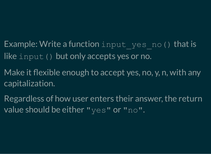### Example: Write a function input yes no() that is like input() but only accepts yes or no.

- Make it flexible enough to accept yes, no, y, n, with any capitalization.
- Regardless of how user enters their answer, the return value should be either "yes" or "no".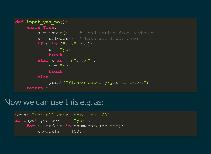```
def input_yes_no():
     while True:
        s = input() # Read string from keyboard
        s = s.lower() # Make all lower case
         if s in ["y","yes"]:
            s = "yes" break
         elif s in ["n","no"]:
            s = "no" break
         else:
             print("Please enter y/yes or n/no.")
     return s
```
#### Now we can use this e.g. as:

```
print("Set all quiz scores to 100?")
if input yes no() == "yes": for i,student in enumerate(roster):
        scores[i] = 100.0
```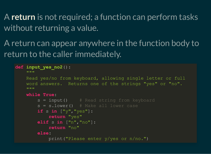A **return** is not required; a function can perform tasks without returning a value.

A return can appear anywhere in the function body to return to the caller immediately.

```
def input_yes_no2():
 """
     Read yes/no from keyboard, allowing single letter or full
     word answers. Returns one of the strings "yes" or "no".
    "" ""
     while True:
        s = input() # Read string from keyboard
        s = s.lower() # Make all lower case
         if s in ["y","yes"]:
             return "yes"
         elif s in ["n","no"]:
             return "no"
         else:
             print("Please enter y/yes or n/no.")
```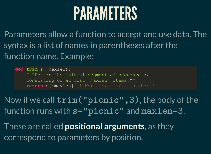# PARAMETERS

Parameters allow a function to accept and use data. The syntax is a list of names in parentheses after the function name. Example:

**def trim**(s, maxlen): """Return the initial segment of sequence s, consisting of at most `maxlen` items.""" **return** s[:maxlen] # Works even if s is short!

Now if we call  $\texttt{trim("picture", 3)}$ , the body of the function runs with  $s=$ "picnic" and  $maxlen=3$ .

These are called **positional arguments**, as they correspond to parameters by position.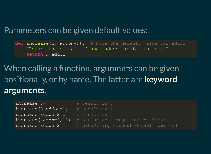#### Parameters can be given default values:

**def increase**(x, addon=5): # Note the default value for addon "Return the sum of `x` and `addon` (defaults to 5)" **return** x+addon

#### When calling a function, arguments can be given positionally, or by name. The latter are **keyword arguments**.

| increase(3)                             | # result is 8 |                                                          |
|-----------------------------------------|---------------|----------------------------------------------------------|
| $increase(3, addon=1)$ # result is 4    |               |                                                          |
| $increase (addon=2, x=3)$ # result is 5 |               |                                                          |
|                                         |               | $increase (addon=2,11)$ # ERROR: pos. args must be first |
|                                         |               | increase(addon=2) # ERROR: arg without default omitted   |